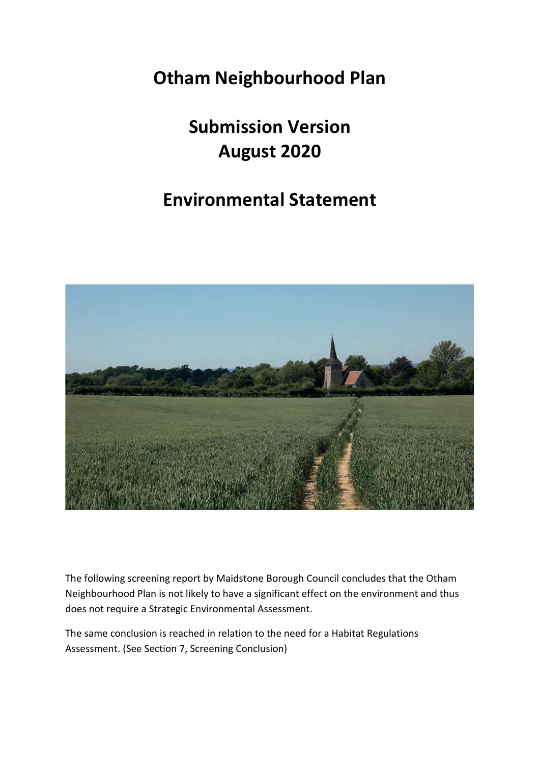# **Otham Neighbourhood Plan**

# **Submission Version August 2020**

# **Environmental Statement**



The following screening report by Maidstone Borough Council concludes that the Otham Neighbourhood Plan is not likely to have a significant effect on the environment and thus does not require a Strategic Environmental Assessment.

The same conclusion is reached in relation to the need for a Habitat Regulations Assessment. (See Section 7, Screening Conclusion)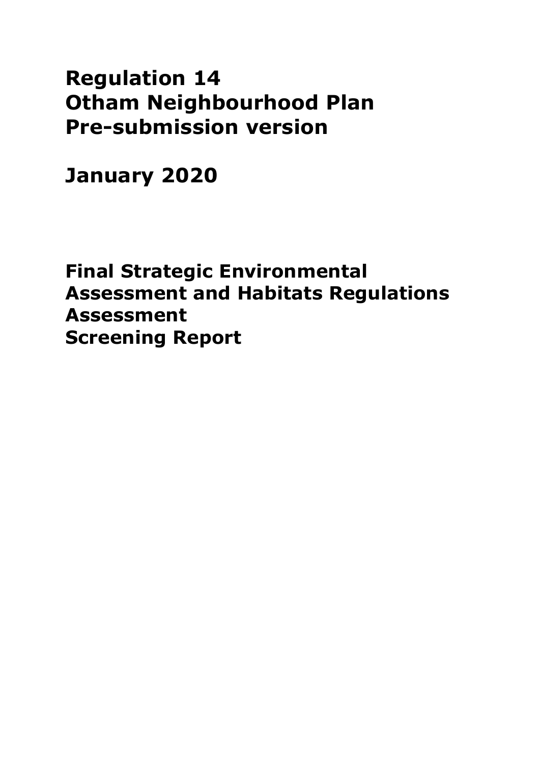# **Regulation 14 Otham Neighbourhood Plan Pre-submission version**

**January 2020**

**Final Strategic Environmental Assessment and Habitats Regulations Assessment Screening Report**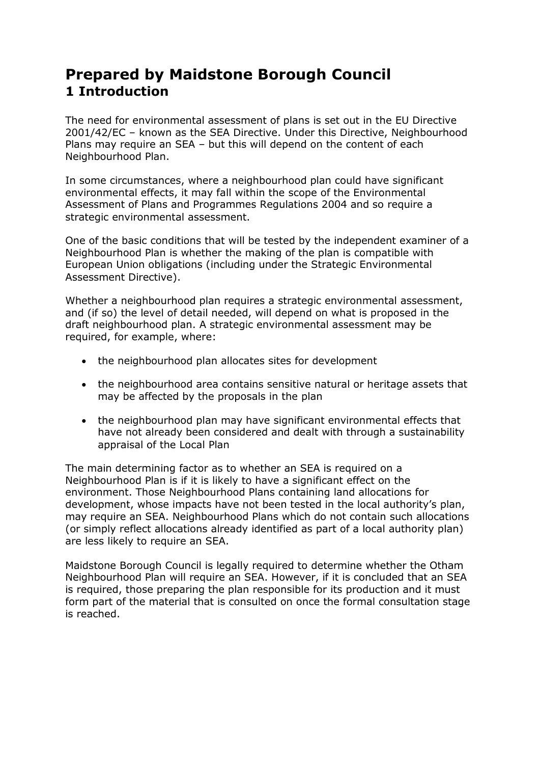# **Prepared by Maidstone Borough Council 1 Introduction**

The need for environmental assessment of plans is set out in the EU Directive 2001/42/EC – known as the SEA Directive. Under this Directive, Neighbourhood Plans may require an SEA – but this will depend on the content of each Neighbourhood Plan.

In some circumstances, where a neighbourhood plan could have significant environmental effects, it may fall within the scope of the Environmental Assessment of Plans and Programmes Regulations 2004 and so require a strategic environmental assessment.

One of the basic conditions that will be tested by the independent examiner of a Neighbourhood Plan is whether the making of the plan is compatible with European Union obligations (including under the Strategic Environmental Assessment Directive).

Whether a neighbourhood plan requires a strategic environmental assessment, and (if so) the level of detail needed, will depend on what is proposed in the draft neighbourhood plan. A strategic environmental assessment may be required, for example, where:

- the neighbourhood plan allocates sites for development
- the neighbourhood area contains sensitive natural or heritage assets that may be affected by the proposals in the plan
- the neighbourhood plan may have significant environmental effects that have not already been considered and dealt with through a sustainability appraisal of the Local Plan

The main determining factor as to whether an SEA is required on a Neighbourhood Plan is if it is likely to have a significant effect on the environment. Those Neighbourhood Plans containing land allocations for development, whose impacts have not been tested in the local authority's plan, may require an SEA. Neighbourhood Plans which do not contain such allocations (or simply reflect allocations already identified as part of a local authority plan) are less likely to require an SEA.

Maidstone Borough Council is legally required to determine whether the Otham Neighbourhood Plan will require an SEA. However, if it is concluded that an SEA is required, those preparing the plan responsible for its production and it must form part of the material that is consulted on once the formal consultation stage is reached.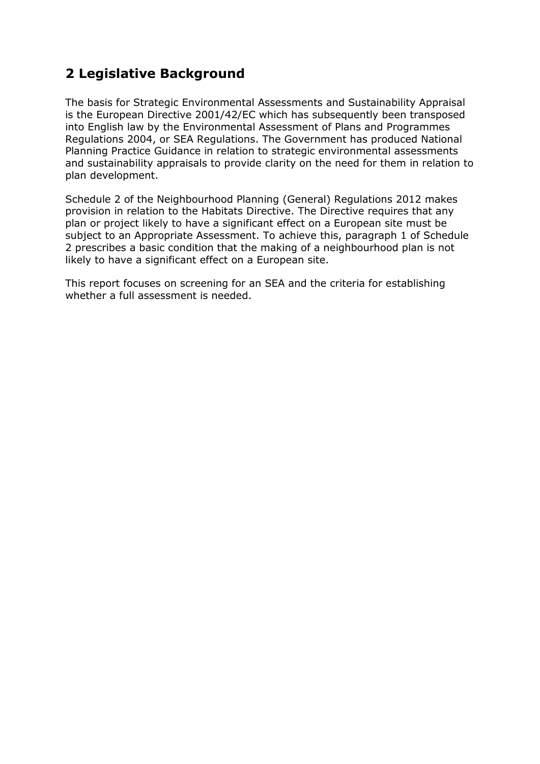## **2 Legislative Background**

The basis for Strategic Environmental Assessments and Sustainability Appraisal is the European Directive 2001/42/EC which has subsequently been transposed into English law by the Environmental Assessment of Plans and Programmes Regulations 2004, or SEA Regulations. The Government has produced National Planning Practice Guidance in relation to strategic environmental assessments and sustainability appraisals to provide clarity on the need for them in relation to plan development.

Schedule 2 of the Neighbourhood Planning (General) Regulations 2012 makes provision in relation to the Habitats Directive. The Directive requires that any plan or project likely to have a significant effect on a European site must be subject to an Appropriate Assessment. To achieve this, paragraph 1 of Schedule 2 prescribes a basic condition that the making of a neighbourhood plan is not likely to have a significant effect on a European site.

This report focuses on screening for an SEA and the criteria for establishing whether a full assessment is needed.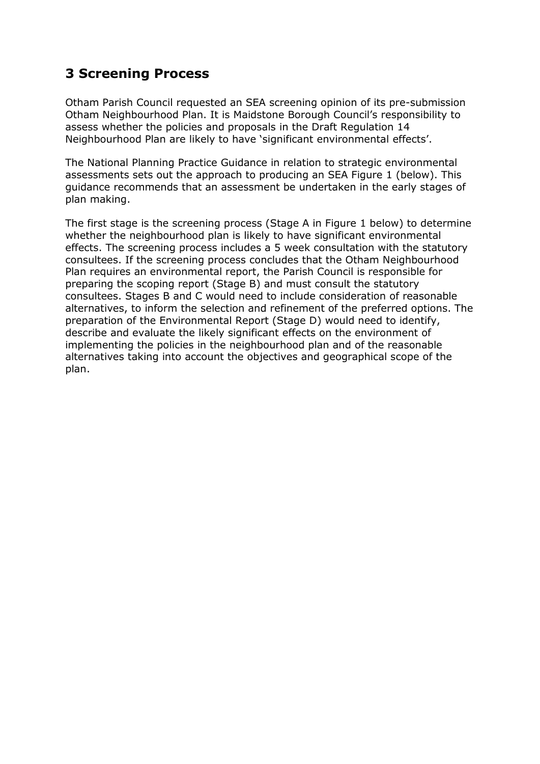## **3 Screening Process**

Otham Parish Council requested an SEA screening opinion of its pre-submission Otham Neighbourhood Plan. It is Maidstone Borough Council's responsibility to assess whether the policies and proposals in the Draft Regulation 14 Neighbourhood Plan are likely to have 'significant environmental effects'.

The National Planning Practice Guidance in relation to strategic environmental assessments sets out the approach to producing an SEA Figure 1 (below). This guidance recommends that an assessment be undertaken in the early stages of plan making.

The first stage is the screening process (Stage A in Figure 1 below) to determine whether the neighbourhood plan is likely to have significant environmental effects. The screening process includes a 5 week consultation with the statutory consultees. If the screening process concludes that the Otham Neighbourhood Plan requires an environmental report, the Parish Council is responsible for preparing the scoping report (Stage B) and must consult the statutory consultees. Stages B and C would need to include consideration of reasonable alternatives, to inform the selection and refinement of the preferred options. The preparation of the Environmental Report (Stage D) would need to identify, describe and evaluate the likely significant effects on the environment of implementing the policies in the neighbourhood plan and of the reasonable alternatives taking into account the objectives and geographical scope of the plan.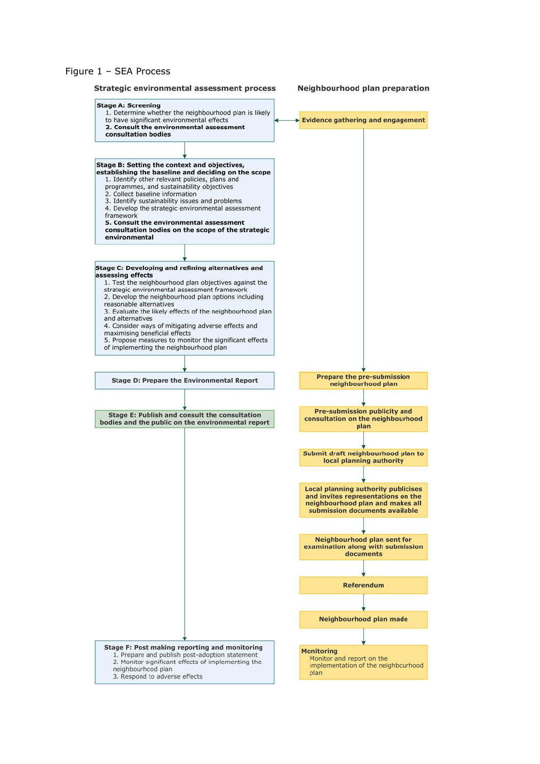#### Figure 1 – SEA Process

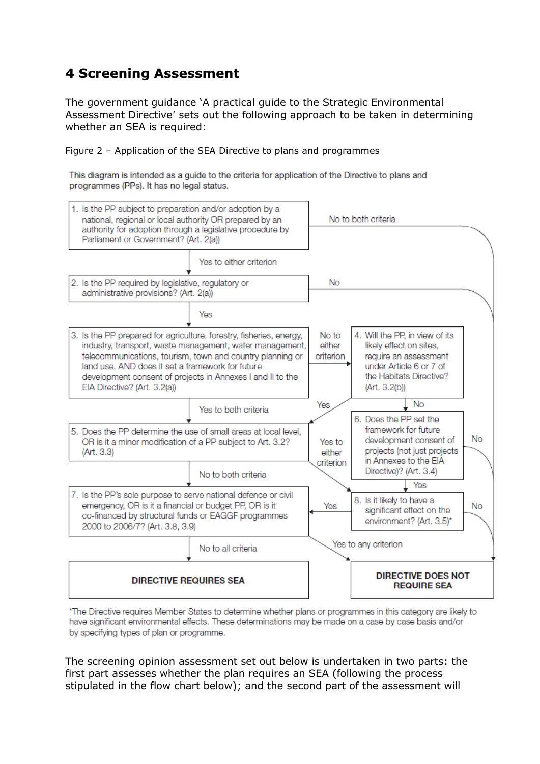## **4 Screening Assessment**

The government guidance 'A practical guide to the Strategic Environmental Assessment Directive' sets out the following approach to be taken in determining whether an SEA is required:

Figure 2 – Application of the SEA Directive to plans and programmes

This diagram is intended as a guide to the criteria for application of the Directive to plans and programmes (PPs). It has no legal status.



\*The Directive requires Member States to determine whether plans or programmes in this category are likely to have significant environmental effects. These determinations may be made on a case by case basis and/or by specifying types of plan or programme.

The screening opinion assessment set out below is undertaken in two parts: the first part assesses whether the plan requires an SEA (following the process stipulated in the flow chart below); and the second part of the assessment will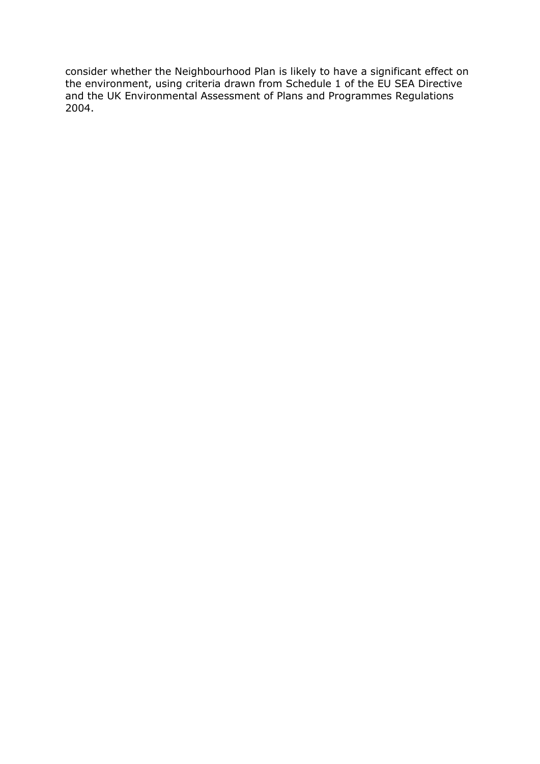consider whether the Neighbourhood Plan is likely to have a significant effect on the environment, using criteria drawn from Schedule 1 of the EU SEA Directive and the UK Environmental Assessment of Plans and Programmes Regulations 2004.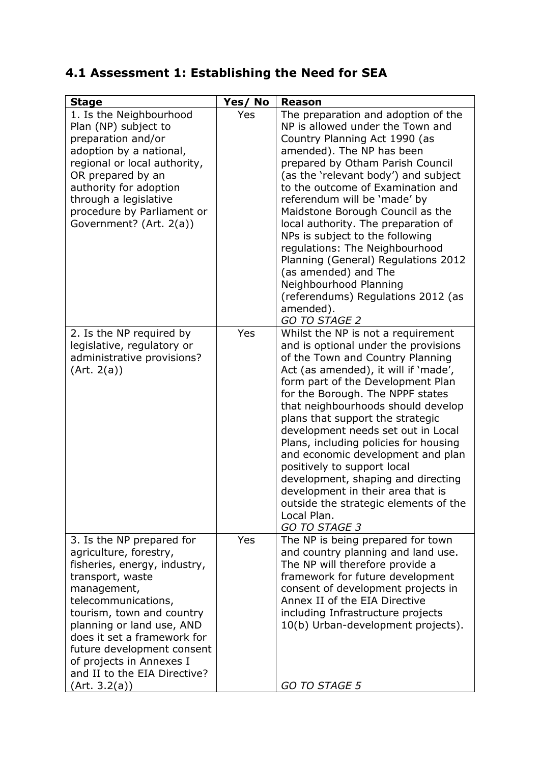# **4.1 Assessment 1: Establishing the Need for SEA**

| <b>Stage</b>                                                                                                                                                                                                                                                                                                                                      | Yes/No | <b>Reason</b>                                                                                                                                                                                                                                                                                                                                                                                                                                                                                                                                                                                                    |
|---------------------------------------------------------------------------------------------------------------------------------------------------------------------------------------------------------------------------------------------------------------------------------------------------------------------------------------------------|--------|------------------------------------------------------------------------------------------------------------------------------------------------------------------------------------------------------------------------------------------------------------------------------------------------------------------------------------------------------------------------------------------------------------------------------------------------------------------------------------------------------------------------------------------------------------------------------------------------------------------|
| 1. Is the Neighbourhood<br>Plan (NP) subject to<br>preparation and/or<br>adoption by a national,<br>regional or local authority,<br>OR prepared by an<br>authority for adoption<br>through a legislative<br>procedure by Parliament or<br>Government? (Art. 2(a))                                                                                 | Yes    | The preparation and adoption of the<br>NP is allowed under the Town and<br>Country Planning Act 1990 (as<br>amended). The NP has been<br>prepared by Otham Parish Council<br>(as the 'relevant body') and subject<br>to the outcome of Examination and<br>referendum will be 'made' by<br>Maidstone Borough Council as the<br>local authority. The preparation of<br>NPs is subject to the following<br>regulations: The Neighbourhood<br>Planning (General) Regulations 2012<br>(as amended) and The<br>Neighbourhood Planning<br>(referendums) Regulations 2012 (as<br>amended).<br>GO TO STAGE 2              |
| 2. Is the NP required by<br>legislative, regulatory or<br>administrative provisions?<br>(Art. 2(a))                                                                                                                                                                                                                                               | Yes    | Whilst the NP is not a requirement<br>and is optional under the provisions<br>of the Town and Country Planning<br>Act (as amended), it will if 'made',<br>form part of the Development Plan<br>for the Borough. The NPPF states<br>that neighbourhoods should develop<br>plans that support the strategic<br>development needs set out in Local<br>Plans, including policies for housing<br>and economic development and plan<br>positively to support local<br>development, shaping and directing<br>development in their area that is<br>outside the strategic elements of the<br>Local Plan.<br>GO TO STAGE 3 |
| 3. Is the NP prepared for<br>agriculture, forestry,<br>fisheries, energy, industry,<br>transport, waste<br>management,<br>telecommunications,<br>tourism, town and country<br>planning or land use, AND<br>does it set a framework for<br>future development consent<br>of projects in Annexes I<br>and II to the EIA Directive?<br>(Art. 3.2(a)) | Yes    | The NP is being prepared for town<br>and country planning and land use.<br>The NP will therefore provide a<br>framework for future development<br>consent of development projects in<br>Annex II of the EIA Directive<br>including Infrastructure projects<br>10(b) Urban-development projects).<br>GO TO STAGE 5                                                                                                                                                                                                                                                                                                |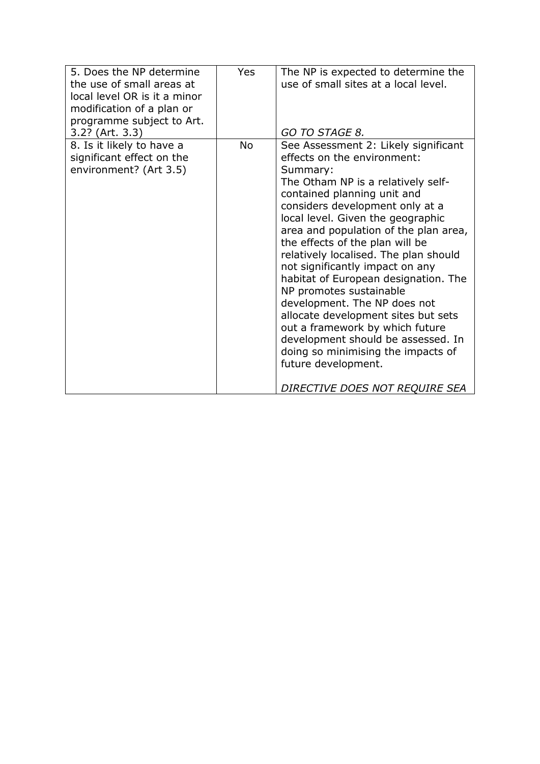| local level OR is it a minor<br>modification of a plan or<br>programme subject to Art.<br>3.2? (Art. 3.3) | GO TO STAGE 8.                                                                                                                                                                                                                                                                                                                                                                                                                                                                                                                                                                                                                                                                                         |
|-----------------------------------------------------------------------------------------------------------|--------------------------------------------------------------------------------------------------------------------------------------------------------------------------------------------------------------------------------------------------------------------------------------------------------------------------------------------------------------------------------------------------------------------------------------------------------------------------------------------------------------------------------------------------------------------------------------------------------------------------------------------------------------------------------------------------------|
| 8. Is it likely to have a<br><b>No</b><br>significant effect on the<br>environment? (Art 3.5)             | See Assessment 2: Likely significant<br>effects on the environment:<br>Summary:<br>The Otham NP is a relatively self-<br>contained planning unit and<br>considers development only at a<br>local level. Given the geographic<br>area and population of the plan area,<br>the effects of the plan will be<br>relatively localised. The plan should<br>not significantly impact on any<br>habitat of European designation. The<br>NP promotes sustainable<br>development. The NP does not<br>allocate development sites but sets<br>out a framework by which future<br>development should be assessed. In<br>doing so minimising the impacts of<br>future development.<br>DIRECTIVE DOES NOT REQUIRE SEA |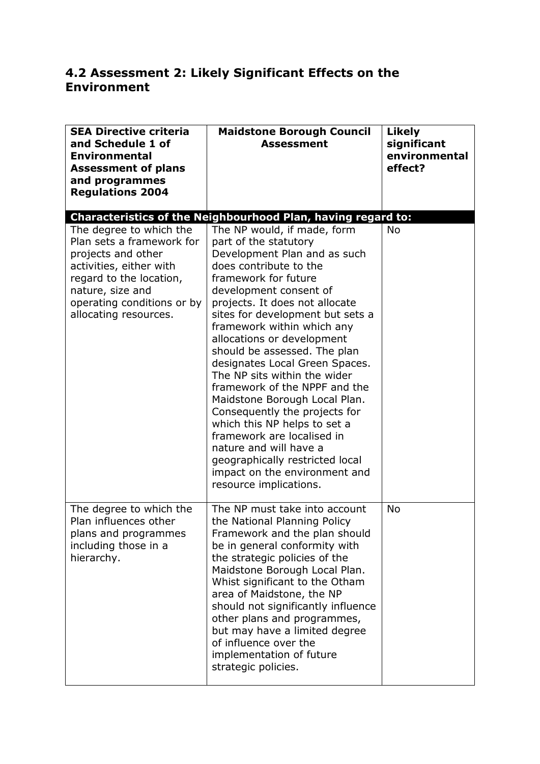## **4.2 Assessment 2: Likely Significant Effects on the Environment**

| <b>SEA Directive criteria</b><br>and Schedule 1 of<br><b>Environmental</b><br><b>Assessment of plans</b><br>and programmes<br><b>Regulations 2004</b>                                                       | <b>Maidstone Borough Council</b><br><b>Assessment</b>                                                                                                                                                                                                                                                                                                                                                                                                                                                                                                                                                                                                                                         | <b>Likely</b><br>significant<br>environmental<br>effect? |  |  |  |  |
|-------------------------------------------------------------------------------------------------------------------------------------------------------------------------------------------------------------|-----------------------------------------------------------------------------------------------------------------------------------------------------------------------------------------------------------------------------------------------------------------------------------------------------------------------------------------------------------------------------------------------------------------------------------------------------------------------------------------------------------------------------------------------------------------------------------------------------------------------------------------------------------------------------------------------|----------------------------------------------------------|--|--|--|--|
| Characteristics of the Neighbourhood Plan, having regard to:                                                                                                                                                |                                                                                                                                                                                                                                                                                                                                                                                                                                                                                                                                                                                                                                                                                               |                                                          |  |  |  |  |
| The degree to which the<br>Plan sets a framework for<br>projects and other<br>activities, either with<br>regard to the location,<br>nature, size and<br>operating conditions or by<br>allocating resources. | The NP would, if made, form<br>part of the statutory<br>Development Plan and as such<br>does contribute to the<br>framework for future<br>development consent of<br>projects. It does not allocate<br>sites for development but sets a<br>framework within which any<br>allocations or development<br>should be assessed. The plan<br>designates Local Green Spaces.<br>The NP sits within the wider<br>framework of the NPPF and the<br>Maidstone Borough Local Plan.<br>Consequently the projects for<br>which this NP helps to set a<br>framework are localised in<br>nature and will have a<br>geographically restricted local<br>impact on the environment and<br>resource implications. | <b>No</b>                                                |  |  |  |  |
| The degree to which the<br>Plan influences other<br>plans and programmes<br>including those in a<br>hierarchy.                                                                                              | The NP must take into account<br>the National Planning Policy<br>Framework and the plan should<br>be in general conformity with<br>the strategic policies of the<br>Maidstone Borough Local Plan.<br>Whist significant to the Otham<br>area of Maidstone, the NP<br>should not significantly influence<br>other plans and programmes,<br>but may have a limited degree<br>of influence over the<br>implementation of future<br>strategic policies.                                                                                                                                                                                                                                            | No                                                       |  |  |  |  |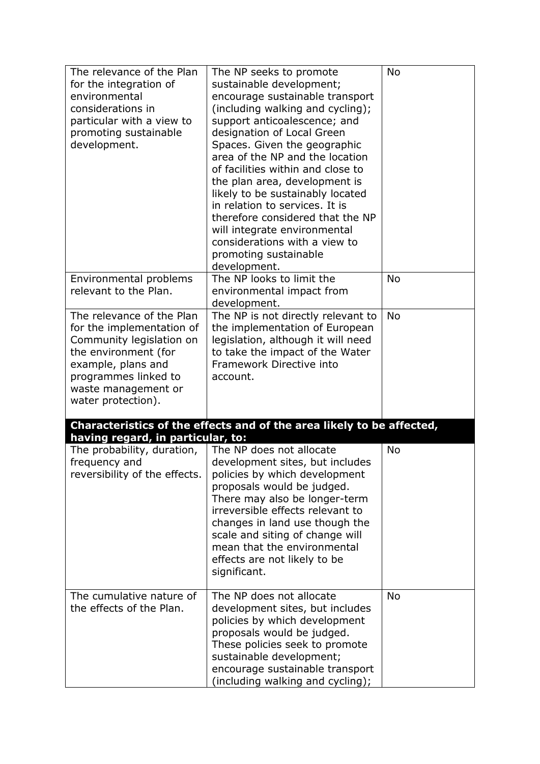| The relevance of the Plan<br>for the integration of<br>environmental<br>considerations in<br>particular with a view to<br>promoting sustainable<br>development.                                       | The NP seeks to promote<br>sustainable development;<br>encourage sustainable transport<br>(including walking and cycling);<br>support anticoalescence; and<br>designation of Local Green<br>Spaces. Given the geographic<br>area of the NP and the location<br>of facilities within and close to<br>the plan area, development is<br>likely to be sustainably located<br>in relation to services. It is<br>therefore considered that the NP<br>will integrate environmental<br>considerations with a view to<br>promoting sustainable<br>development. | <b>No</b> |
|-------------------------------------------------------------------------------------------------------------------------------------------------------------------------------------------------------|-------------------------------------------------------------------------------------------------------------------------------------------------------------------------------------------------------------------------------------------------------------------------------------------------------------------------------------------------------------------------------------------------------------------------------------------------------------------------------------------------------------------------------------------------------|-----------|
| Environmental problems<br>relevant to the Plan.                                                                                                                                                       | The NP looks to limit the<br>environmental impact from<br>development.                                                                                                                                                                                                                                                                                                                                                                                                                                                                                | No        |
| The relevance of the Plan<br>for the implementation of<br>Community legislation on<br>the environment (for<br>example, plans and<br>programmes linked to<br>waste management or<br>water protection). | The NP is not directly relevant to<br>the implementation of European<br>legislation, although it will need<br>to take the impact of the Water<br>Framework Directive into<br>account.                                                                                                                                                                                                                                                                                                                                                                 | <b>No</b> |
| having regard, in particular, to:                                                                                                                                                                     | Characteristics of the effects and of the area likely to be affected,                                                                                                                                                                                                                                                                                                                                                                                                                                                                                 |           |
| The probability, duration,<br>frequency and<br>reversibility of the effects.                                                                                                                          | The NP does not allocate<br>development sites, but includes<br>policies by which development<br>proposals would be judged.<br>There may also be longer-term<br>irreversible effects relevant to<br>changes in land use though the<br>scale and siting of change will<br>mean that the environmental<br>effects are not likely to be<br>significant.                                                                                                                                                                                                   | <b>No</b> |
| The cumulative nature of<br>the effects of the Plan.                                                                                                                                                  | The NP does not allocate<br>development sites, but includes<br>policies by which development<br>proposals would be judged.<br>These policies seek to promote<br>sustainable development;<br>encourage sustainable transport<br>(including walking and cycling);                                                                                                                                                                                                                                                                                       | <b>No</b> |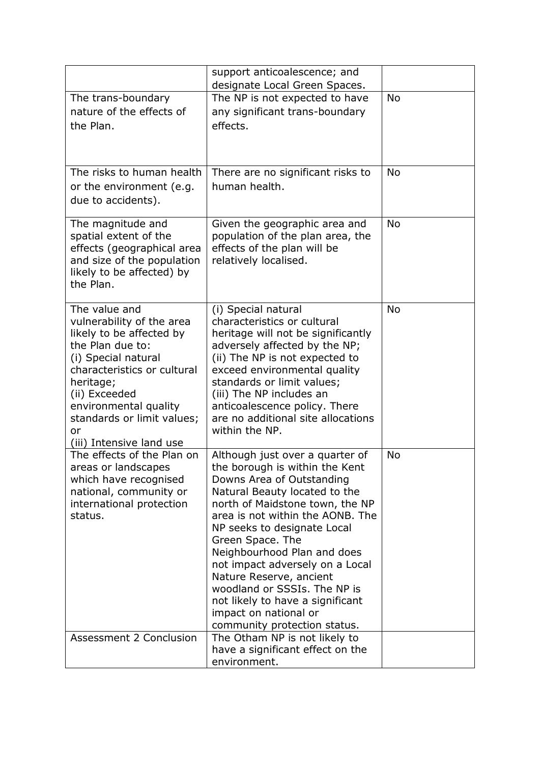|                                                                                                                                                                                                                                                                         | support anticoalescence; and<br>designate Local Green Spaces.                                                                                                                                                                                                                                                                                                                                                                                                                       |           |
|-------------------------------------------------------------------------------------------------------------------------------------------------------------------------------------------------------------------------------------------------------------------------|-------------------------------------------------------------------------------------------------------------------------------------------------------------------------------------------------------------------------------------------------------------------------------------------------------------------------------------------------------------------------------------------------------------------------------------------------------------------------------------|-----------|
| The trans-boundary<br>nature of the effects of<br>the Plan.                                                                                                                                                                                                             | The NP is not expected to have<br>any significant trans-boundary<br>effects.                                                                                                                                                                                                                                                                                                                                                                                                        | <b>No</b> |
| The risks to human health<br>or the environment (e.g.<br>due to accidents).                                                                                                                                                                                             | There are no significant risks to<br>human health.                                                                                                                                                                                                                                                                                                                                                                                                                                  | No        |
| The magnitude and<br>spatial extent of the<br>effects (geographical area<br>and size of the population<br>likely to be affected) by<br>the Plan.                                                                                                                        | Given the geographic area and<br>population of the plan area, the<br>effects of the plan will be<br>relatively localised.                                                                                                                                                                                                                                                                                                                                                           | <b>No</b> |
| The value and<br>vulnerability of the area<br>likely to be affected by<br>the Plan due to:<br>(i) Special natural<br>characteristics or cultural<br>heritage;<br>(ii) Exceeded<br>environmental quality<br>standards or limit values;<br>or<br>(iii) Intensive land use | (i) Special natural<br>characteristics or cultural<br>heritage will not be significantly<br>adversely affected by the NP;<br>(ii) The NP is not expected to<br>exceed environmental quality<br>standards or limit values;<br>(iii) The NP includes an<br>anticoalescence policy. There<br>are no additional site allocations<br>within the NP.                                                                                                                                      | <b>No</b> |
| The effects of the Plan on<br>areas or landscapes<br>which have recognised<br>national, community or<br>international protection<br>status.                                                                                                                             | Although just over a quarter of<br>the borough is within the Kent<br>Downs Area of Outstanding<br>Natural Beauty located to the<br>north of Maidstone town, the NP<br>area is not within the AONB. The<br>NP seeks to designate Local<br>Green Space. The<br>Neighbourhood Plan and does<br>not impact adversely on a Local<br>Nature Reserve, ancient<br>woodland or SSSIs. The NP is<br>not likely to have a significant<br>impact on national or<br>community protection status. | No        |
| Assessment 2 Conclusion                                                                                                                                                                                                                                                 | The Otham NP is not likely to<br>have a significant effect on the<br>environment.                                                                                                                                                                                                                                                                                                                                                                                                   |           |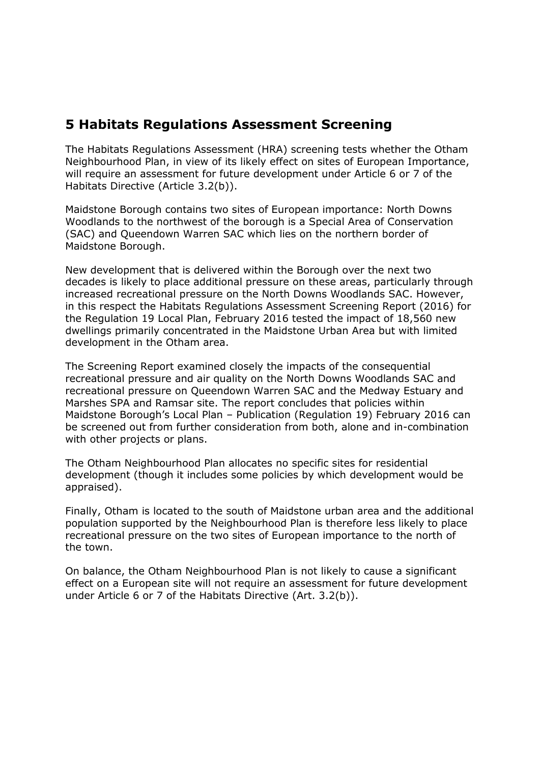## **5 Habitats Regulations Assessment Screening**

The Habitats Regulations Assessment (HRA) screening tests whether the Otham Neighbourhood Plan, in view of its likely effect on sites of European Importance, will require an assessment for future development under Article 6 or 7 of the Habitats Directive (Article 3.2(b)).

Maidstone Borough contains two sites of European importance: North Downs Woodlands to the northwest of the borough is a Special Area of Conservation (SAC) and Queendown Warren SAC which lies on the northern border of Maidstone Borough.

New development that is delivered within the Borough over the next two decades is likely to place additional pressure on these areas, particularly through increased recreational pressure on the North Downs Woodlands SAC. However, in this respect the Habitats Regulations Assessment Screening Report (2016) for the Regulation 19 Local Plan, February 2016 tested the impact of 18,560 new dwellings primarily concentrated in the Maidstone Urban Area but with limited development in the Otham area.

The Screening Report examined closely the impacts of the consequential recreational pressure and air quality on the North Downs Woodlands SAC and recreational pressure on Queendown Warren SAC and the Medway Estuary and Marshes SPA and Ramsar site. The report concludes that policies within Maidstone Borough's Local Plan – Publication (Regulation 19) February 2016 can be screened out from further consideration from both, alone and in-combination with other projects or plans.

The Otham Neighbourhood Plan allocates no specific sites for residential development (though it includes some policies by which development would be appraised).

Finally, Otham is located to the south of Maidstone urban area and the additional population supported by the Neighbourhood Plan is therefore less likely to place recreational pressure on the two sites of European importance to the north of the town.

On balance, the Otham Neighbourhood Plan is not likely to cause a significant effect on a European site will not require an assessment for future development under Article 6 or 7 of the Habitats Directive (Art. 3.2(b)).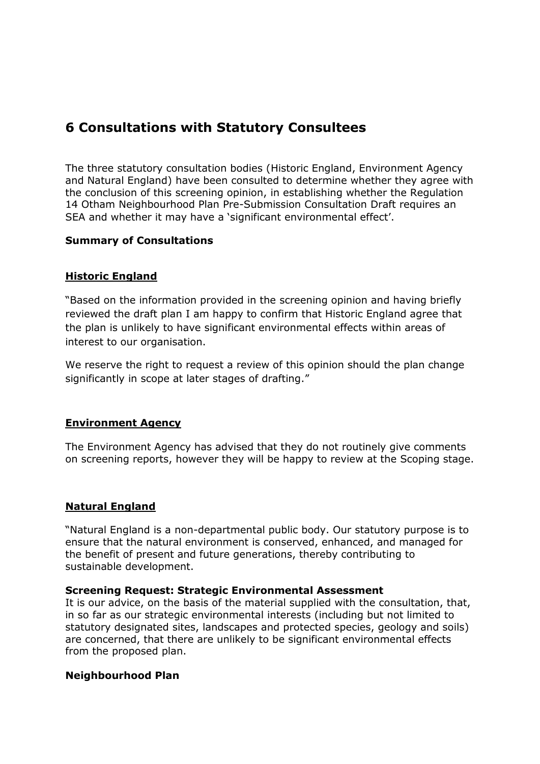## **6 Consultations with Statutory Consultees**

The three statutory consultation bodies (Historic England, Environment Agency and Natural England) have been consulted to determine whether they agree with the conclusion of this screening opinion, in establishing whether the Regulation 14 Otham Neighbourhood Plan Pre-Submission Consultation Draft requires an SEA and whether it may have a 'significant environmental effect'.

## **Summary of Consultations**

## **Historic England**

"Based on the information provided in the screening opinion and having briefly reviewed the draft plan I am happy to confirm that Historic England agree that the plan is unlikely to have significant environmental effects within areas of interest to our organisation.

We reserve the right to request a review of this opinion should the plan change significantly in scope at later stages of drafting."

### **Environment Agency**

The Environment Agency has advised that they do not routinely give comments on screening reports, however they will be happy to review at the Scoping stage.

## **Natural England**

"Natural England is a non-departmental public body. Our statutory purpose is to ensure that the natural environment is conserved, enhanced, and managed for the benefit of present and future generations, thereby contributing to sustainable development.

### **Screening Request: Strategic Environmental Assessment**

It is our advice, on the basis of the material supplied with the consultation, that, in so far as our strategic environmental interests (including but not limited to statutory designated sites, landscapes and protected species, geology and soils) are concerned, that there are unlikely to be significant environmental effects from the proposed plan.

### **Neighbourhood Plan**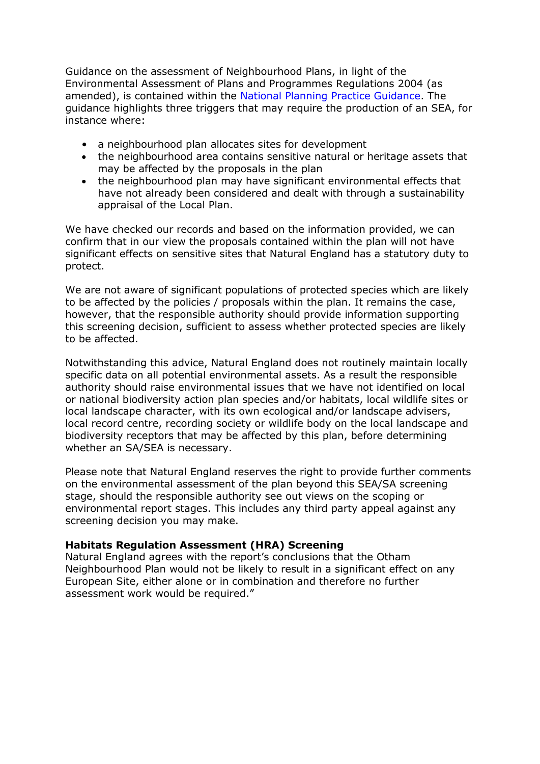Guidance on the assessment of Neighbourhood Plans, in light of the Environmental Assessment of Plans and Programmes Regulations 2004 (as amended), is contained within the National Planning Practice Guidance. The guidance highlights three triggers that may require the production of an SEA, for instance where:

- a neighbourhood plan allocates sites for development
- the neighbourhood area contains sensitive natural or heritage assets that may be affected by the proposals in the plan
- the neighbourhood plan may have significant environmental effects that have not already been considered and dealt with through a sustainability appraisal of the Local Plan.

We have checked our records and based on the information provided, we can confirm that in our view the proposals contained within the plan will not have significant effects on sensitive sites that Natural England has a statutory duty to protect.

We are not aware of significant populations of protected species which are likely to be affected by the policies / proposals within the plan. It remains the case, however, that the responsible authority should provide information supporting this screening decision, sufficient to assess whether protected species are likely to be affected.

Notwithstanding this advice, Natural England does not routinely maintain locally specific data on all potential environmental assets. As a result the responsible authority should raise environmental issues that we have not identified on local or national biodiversity action plan species and/or habitats, local wildlife sites or local landscape character, with its own ecological and/or landscape advisers, local record centre, recording society or wildlife body on the local landscape and biodiversity receptors that may be affected by this plan, before determining whether an SA/SEA is necessary.

Please note that Natural England reserves the right to provide further comments on the environmental assessment of the plan beyond this SEA/SA screening stage, should the responsible authority see out views on the scoping or environmental report stages. This includes any third party appeal against any screening decision you may make.

## **Habitats Regulation Assessment (HRA) Screening**

Natural England agrees with the report's conclusions that the Otham Neighbourhood Plan would not be likely to result in a significant effect on any European Site, either alone or in combination and therefore no further assessment work would be required."